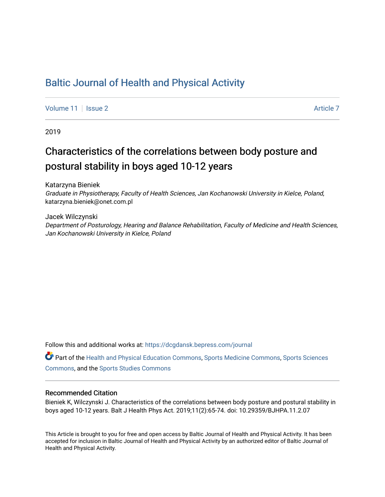## [Baltic Journal of Health and Physical Activity](https://dcgdansk.bepress.com/journal)

[Volume 11](https://dcgdansk.bepress.com/journal/vol11) | [Issue 2](https://dcgdansk.bepress.com/journal/vol11/iss2) Article 7

2019

# Characteristics of the correlations between body posture and postural stability in boys aged 10-12 years

Katarzyna Bieniek Graduate in Physiotherapy, Faculty of Health Sciences, Jan Kochanowski University in Kielce, Poland, katarzyna.bieniek@onet.com.pl

Jacek Wilczynski Department of Posturology, Hearing and Balance Rehabilitation, Faculty of Medicine and Health Sciences, Jan Kochanowski University in Kielce, Poland

Follow this and additional works at: [https://dcgdansk.bepress.com/journal](https://dcgdansk.bepress.com/journal?utm_source=dcgdansk.bepress.com%2Fjournal%2Fvol11%2Fiss2%2F7&utm_medium=PDF&utm_campaign=PDFCoverPages)

Part of the [Health and Physical Education Commons](http://network.bepress.com/hgg/discipline/1327?utm_source=dcgdansk.bepress.com%2Fjournal%2Fvol11%2Fiss2%2F7&utm_medium=PDF&utm_campaign=PDFCoverPages), [Sports Medicine Commons,](http://network.bepress.com/hgg/discipline/1331?utm_source=dcgdansk.bepress.com%2Fjournal%2Fvol11%2Fiss2%2F7&utm_medium=PDF&utm_campaign=PDFCoverPages) [Sports Sciences](http://network.bepress.com/hgg/discipline/759?utm_source=dcgdansk.bepress.com%2Fjournal%2Fvol11%2Fiss2%2F7&utm_medium=PDF&utm_campaign=PDFCoverPages) [Commons](http://network.bepress.com/hgg/discipline/759?utm_source=dcgdansk.bepress.com%2Fjournal%2Fvol11%2Fiss2%2F7&utm_medium=PDF&utm_campaign=PDFCoverPages), and the [Sports Studies Commons](http://network.bepress.com/hgg/discipline/1198?utm_source=dcgdansk.bepress.com%2Fjournal%2Fvol11%2Fiss2%2F7&utm_medium=PDF&utm_campaign=PDFCoverPages) 

#### Recommended Citation

Bieniek K, Wilczynski J. Characteristics of the correlations between body posture and postural stability in boys aged 10-12 years. Balt J Health Phys Act. 2019;11(2):65-74. doi: 10.29359/BJHPA.11.2.07

This Article is brought to you for free and open access by Baltic Journal of Health and Physical Activity. It has been accepted for inclusion in Baltic Journal of Health and Physical Activity by an authorized editor of Baltic Journal of Health and Physical Activity.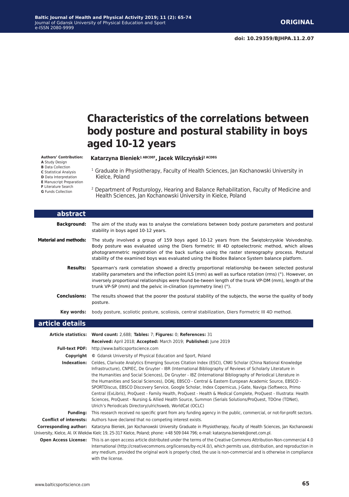Kielce, Poland

## **Characteristics of the correlations between body posture and postural stability in boys aged 10-12 years**

<sup>1</sup> Graduate in Physiotherapy, Faculty of Health Sciences, Jan Kochanowski University in

#### **Authors' Contribution:**

**A** Study Design **B** Data Collection

**C** Statistical Analysis

**D** Data Interpretation

- **E** Manuscript Preparation
- **F** Literature Search **G** Funds Collection

2 Department of Posturology, Hearing and Balance Rehabilitation, Faculty of Medicine and Health Sciences, Jan Kochanowski University in Kielce, Poland

**Katarzyna Bieniek1 ABCDEF, Jacek Wilczyński2 ACDEG**

| abstract                     |                                                                                                                                                                                                                                                                                                                                                                                                                                                                                                                                                                                                                                                                                                                                                                                                                                                                           |
|------------------------------|---------------------------------------------------------------------------------------------------------------------------------------------------------------------------------------------------------------------------------------------------------------------------------------------------------------------------------------------------------------------------------------------------------------------------------------------------------------------------------------------------------------------------------------------------------------------------------------------------------------------------------------------------------------------------------------------------------------------------------------------------------------------------------------------------------------------------------------------------------------------------|
| <b>Background:</b>           | The aim of the study was to analyse the correlations between body posture parameters and postural<br>stability in boys aged 10-12 years.                                                                                                                                                                                                                                                                                                                                                                                                                                                                                                                                                                                                                                                                                                                                  |
| <b>Material and methods:</b> | The study involved a group of 159 boys aged 10-12 years from the Świętokrzyskie Voivodeship.<br>Body posture was evaluated using the Diers formetric III 4D optoelectronic method, which allows<br>photogrammetric registration of the back surface using the raster stereography process. Postural<br>stability of the examined boys was evaluated using the Biodex Balance System balance platform.                                                                                                                                                                                                                                                                                                                                                                                                                                                                     |
| <b>Results:</b>              | Spearman's rank correlation showed a directly proportional relationship be-tween selected postural<br>stability parameters and the inflection point ILS (mm) as well as surface rotation (rms) (°). However, on<br>inversely proportional relationships were found be-tween length of the trunk VP-DM (mm), length of the<br>trunk VP-SP (mm) and the pelvic in-clination (symmetry line) (°).                                                                                                                                                                                                                                                                                                                                                                                                                                                                            |
| <b>Conclusions:</b>          | The results showed that the poorer the postural stability of the subjects, the worse the quality of body<br>posture.                                                                                                                                                                                                                                                                                                                                                                                                                                                                                                                                                                                                                                                                                                                                                      |
| Key words:                   | body posture, scoliotic posture, scoliosis, central stabilization, Diers Formetric III 4D method.                                                                                                                                                                                                                                                                                                                                                                                                                                                                                                                                                                                                                                                                                                                                                                         |
| article details              |                                                                                                                                                                                                                                                                                                                                                                                                                                                                                                                                                                                                                                                                                                                                                                                                                                                                           |
|                              | Article statistics: Word count: 2,688; Tables: 7; Figures: 0; References: 31                                                                                                                                                                                                                                                                                                                                                                                                                                                                                                                                                                                                                                                                                                                                                                                              |
|                              | Received: April 2018; Accepted: March 2019; Published: June 2019                                                                                                                                                                                                                                                                                                                                                                                                                                                                                                                                                                                                                                                                                                                                                                                                          |
| <b>Full-text PDF:</b>        | http://www.balticsportscience.com                                                                                                                                                                                                                                                                                                                                                                                                                                                                                                                                                                                                                                                                                                                                                                                                                                         |
|                              | <b>Copyright</b> © Gdansk University of Physical Education and Sport, Poland                                                                                                                                                                                                                                                                                                                                                                                                                                                                                                                                                                                                                                                                                                                                                                                              |
|                              | Indexation: Celdes, Clarivate Analytics Emerging Sources Citation Index (ESCI), CNKI Scholar (China National Knowledge<br>Infrastructure), CNPIEC, De Gruyter - IBR (International Bibliography of Reviews of Scholarly Literature in<br>the Humanities and Social Sciences), De Gruyter - IBZ (International Bibliography of Periodical Literature in<br>the Humanities and Social Sciences), DOAJ, EBSCO - Central & Eastern European Academic Source, EBSCO -<br>SPORTDiscus, EBSCO Discovery Service, Google Scholar, Index Copernicus, J-Gate, Naviga (Softweco, Primo<br>Central (ExLibris), ProQuest - Family Health, ProQuest - Health & Medical Complete, ProQuest - Illustrata: Health<br>Sciences, ProQuest - Nursing & Allied Health Source, Summon (Serials Solutions/ProQuest, TDOne (TDNet),<br>Ulrich's Periodicals Directory/ulrichsweb, WorldCat (OCLC) |
|                              | Funding: This research received no specific grant from any funding agency in the public, commercial, or not-for-profit sectors.                                                                                                                                                                                                                                                                                                                                                                                                                                                                                                                                                                                                                                                                                                                                           |
|                              | <b>Conflict of interests:</b> Authors have declared that no competing interest exists.                                                                                                                                                                                                                                                                                                                                                                                                                                                                                                                                                                                                                                                                                                                                                                                    |
|                              | Corresponding author: Katarzyna Bieniek, Jan Kochanowski University Graduate in Physiotherapy, Faculty of Health Sciences, Jan Kochanowski<br>University, Kielce, Al. IX Wieków Kielc 19, 25-317 Kielce, Poland; phone: +48 509 044 796; e-mail: katarzyna.bieniek@onet.com.pl.                                                                                                                                                                                                                                                                                                                                                                                                                                                                                                                                                                                           |
|                              | Open Access License: This is an open access article distributed under the terms of the Creative Commons Attribution-Non-commercial 4.0<br>International (http://creativecommons.org/licenses/by-nc/4.0/), which permits use, distribution, and reproduction in                                                                                                                                                                                                                                                                                                                                                                                                                                                                                                                                                                                                            |

any medium, provided the original work is properly cited, the use is non-commercial and is otherwise in compliance

with the license.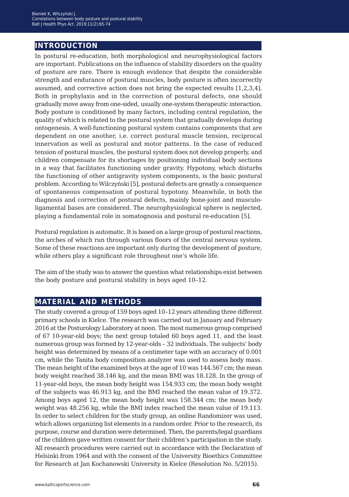### **introduction**

In postural re-education, both morphological and neurophysiological factors are important. Publications on the influence of stability disorders on the quality of posture are rare. There is enough evidence that despite the considerable strength and endurance of postural muscles, body posture is often incorrectly assumed, and corrective action does not bring the expected results [1,2,3,4]. Both in prophylaxis and in the correction of postural defects, one should gradually move away from one-sided, usually one-system therapeutic interaction. Body posture is conditioned by many factors, including central regulation, the quality of which is related to the postural system that gradually develops during ontogenesis. A well-functioning postural system contains components that are dependent on one another, i.e. correct postural muscle tension, reciprocal innervation as well as postural and motor patterns. In the case of reduced tension of postural muscles, the postural system does not develop properly, and children compensate for its shortages by positioning individual body sections in a way that facilitates functioning under gravity. Hypotony, which disturbs the functioning of other antigravity system components, is the basic postural problem. According to Wilczyński [5], postural defects are greatly a consequence of spontaneous compensation of postural hypotony. Meanwhile, in both the diagnosis and correction of postural defects, mainly bone-joint and musculoligamental bases are considered. The neurophysiological sphere is neglected, playing a fundamental role in somatognosia and postural re-education [5].

Postural regulation is automatic. It is based on a large group of postural reactions, the arches of which run through various floors of the central nervous system. Some of these reactions are important only during the development of posture, while others play a significant role throughout one's whole life.

The aim of the study was to answer the question what relationships exist between the body posture and postural stability in boys aged 10–12.

### **material and methods**

The study covered a group of 159 boys aged 10–12 years attending three different primary schools in Kielce. The research was carried out in January and February 2016 at the Posturology Laboratory at noon. The most numerous group comprised of 67 10-year-old boys; the next group totaled 60 boys aged 11, and the least numerous group was formed by 12-year-olds – 32 individuals. The subjects' body height was determined by means of a centimeter tape with an accuracy of 0.001 cm, while the Tanita body composition analyzer was used to assess body mass. The mean height of the examined boys at the age of 10 was 144.567 cm; the mean body weight reached 38.146 kg, and the mean BMI was 18.128. In the group of 11-year-old boys, the mean body height was 154.933 cm; the mean body weight of the subjects was 46.913 kg, and the BMI reached the mean value of 19.372. Among boys aged 12, the mean body height was 158.344 cm; the mean body weight was 48.256 kg, while the BMI index reached the mean value of 19.113. In order to select children for the study group, an online Randomizer was used, which allows organizing list elements in a random order. Prior to the research, its purpose, course and duration were determined. Then, the parents/legal guardians of the children gave written consent for their children's participation in the study. All research procedures were carried out in accordance with the Declaration of Helsinki from 1964 and with the consent of the University Bioethics Committee for Research at Jan Kochanowski University in Kielce (Resolution No. 5/2015).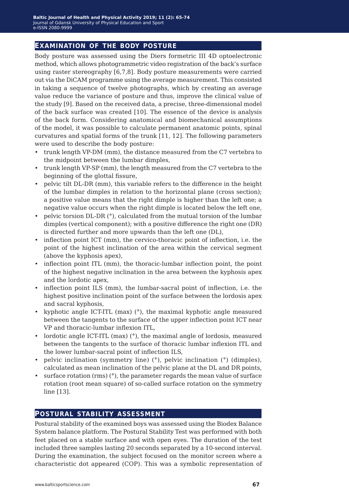#### **examination of the body posture**

Body posture was assessed using the Diers formetric III 4D optoelectronic method, which allows photogrammetric video registration of the back's surface using raster stereography [6,7,8]. Body posture measurements were carried out via the DiCAM programme using the average measurement. This consisted in taking a sequence of twelve photographs, which by creating an average value reduce the variance of posture and thus, improve the clinical value of the study [9]. Based on the received data, a precise, three-dimensional model of the back surface was created [10]. The essence of the device is analysis of the back form. Considering anatomical and biomechanical assumptions of the model, it was possible to calculate permanent anatomic points, spinal curvatures and spatial forms of the trunk [11, 12]. The following parameters were used to describe the body posture:

- trunk length VP-DM (mm), the distance measured from the C7 vertebra to the midpoint between the lumbar dimples,
- trunk length VP-SP (mm), the length measured from the C7 vertebra to the beginning of the glottal fissure,
- pelvic tilt DL-DR (mm), this variable refers to the difference in the height of the lumbar dimples in relation to the horizontal plane (cross section); a positive value means that the right dimple is higher than the left one; a negative value occurs when the right dimple is located below the left one,
- pelvic torsion DL-DR (°), calculated from the mutual torsion of the lumbar dimples (vertical component); with a positive difference the right one (DR) is directed further and more upwards than the left one (DL),
- inflection point ICT (mm), the cervico-thoracic point of inflection, i.e. the point of the highest inclination of the area within the cervical segment (above the kyphosis apex),
- inflection point ITL (mm), the thoracic-lumbar inflection point, the point of the highest negative inclination in the area between the kyphosis apex and the lordotic apex,
- inflection point ILS (mm), the lumbar-sacral point of inflection, i.e. the highest positive inclination point of the surface between the lordosis apex and sacral kyphosis,
- kyphotic angle ICT-ITL (max) (°), the maximal kyphotic angle measured between the tangents to the surface of the upper inflection point ICT near VP and thoracic-lumbar inflexion ITL,
- lordotic angle ICT-ITL (max) (°), the maximal angle of lordosis, measured between the tangents to the surface of thoracic lumbar inflexion ITL and the lower lumbar-sacral point of inflection ILS,
- pelvic inclination (symmetry line) (°), pelvic inclination (°) (dimples), calculated as mean inclination of the pelvic plane at the DL and DR points,
- surface rotation (rms)  $(°)$ , the parameter regards the mean value of surface rotation (root mean square) of so-called surface rotation on the symmetry line [13].

#### **postural stability assessment**

Postural stability of the examined boys was assessed using the Biodex Balance System balance platform. The Postural Stability Test was performed with both feet placed on a stable surface and with open eyes. The duration of the test included three samples lasting 20 seconds separated by a 10-second interval. During the examination, the subject focused on the monitor screen where a characteristic dot appeared (COP). This was a symbolic representation of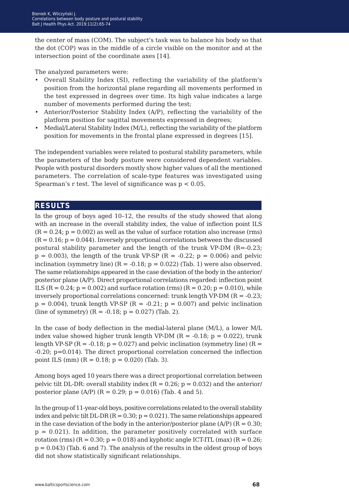the center of mass (COM). The subject's task was to balance his body so that the dot (COP) was in the middle of a circle visible on the monitor and at the intersection point of the coordinate axes [14].

The analyzed parameters were:

- Overall Stability Index (SI), reflecting the variability of the platform's position from the horizontal plane regarding all movements performed in the test expressed in degrees over time. Its high value indicates a large number of movements performed during the test;
- Anterior/Posterior Stability Index (A/P), reflecting the variability of the platform position for sagittal movements expressed in degrees;
- Medial/Lateral Stability Index (M/L), reflecting the variability of the platform position for movements in the frontal plane expressed in degrees [15].

The independent variables were related to postural stability parameters, while the parameters of the body posture were considered dependent variables. People with postural disorders mostly show higher values of all the mentioned parameters. The correlation of scale-type features was investigated using Spearman's r test. The level of significance was  $p < 0.05$ .

### **results**

In the group of boys aged 10–12, the results of the study showed that along with an increase in the overall stability index, the value of inflection point ILS  $(R = 0.24; p = 0.002)$  as well as the value of surface rotation also increase (rms)  $(R = 0.16; p = 0.044)$ . Inversely proportional correlations between the discussed postural stability parameter and the length of the trunk VP-DM  $(R=-0.23)$ ;  $p = 0.003$ , the length of the trunk VP-SP (R = -0.22;  $p = 0.006$ ) and pelvic inclination (symmetry line)  $(R = -0.18; p = 0.022)$  (Tab. 1) were also observed. The same relationships appeared in the case deviation of the body in the anterior/ posterior plane (A/P). Direct proportional correlations regarded: inflection point ILS  $(R = 0.24; p = 0.002)$  and surface rotation (rms)  $(R = 0.20; p = 0.010)$ , while inversely proportional correlations concerned: trunk length VP-DM  $(R = -0.23)$ ;  $p = 0.004$ ), trunk length VP-SP (R = -0.21;  $p = 0.007$ ) and pelvic inclination (line of symmetry)  $(R = -0.18; p = 0.027)$  (Tab. 2).

In the case of body deflection in the medial-lateral plane (M/L), a lower M/L index value showed higher trunk length VP-DM ( $R = -0.18$ ;  $p = 0.022$ ), trunk length VP-SP ( $R = -0.18$ ;  $p = 0.027$ ) and pelvic inclination (symmetry line) ( $R =$ -0.20; p=0.014). The direct proportional correlation concerned the inflection point ILS (mm)  $(R = 0.18; p = 0.020)$  (Tab. 3).

Among boys aged 10 years there was a direct proportional correlation between pelvic tilt DL-DR: overall stability index ( $R = 0.26$ ;  $p = 0.032$ ) and the anterior/ posterior plane (A/P) ( $R = 0.29$ ;  $p = 0.016$ ) (Tab. 4 and 5).

In the group of 11-year-old boys, positive correlations related to the overall stability index and pelvic tilt DL-DR ( $R = 0.30$ ;  $p = 0.021$ ). The same relationships appeared in the case deviation of the body in the anterior/posterior plane (A/P) ( $R = 0.30$ ;  $p = 0.021$ ). In addition, the parameter positively correlated with surface rotation (rms)  $(R = 0.30; p = 0.018)$  and kyphotic angle ICT-ITL (max)  $(R = 0.26;$  $p = 0.043$ ) (Tab. 6 and 7). The analysis of the results in the oldest group of boys did not show statistically significant relationships.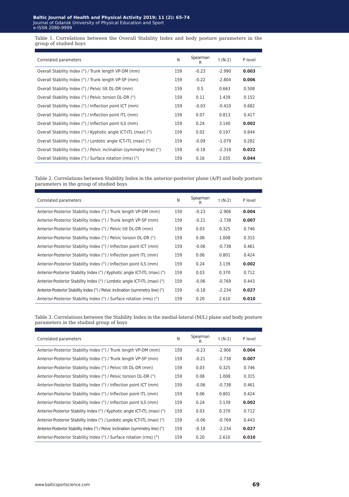Table 1. Correlations between the Overall Stability Index and body posture parameters in the group of studied boys

| Correlated parameters                                                | N   | Spearman<br>R | $t(N-2)$ | P level |
|----------------------------------------------------------------------|-----|---------------|----------|---------|
| Overall Stability Index (°) / Trunk length VP-DM (mm)                | 159 | $-0.23$       | $-2.990$ | 0.003   |
| Overall Stability Index (°) / Trunk length VP-SP (mm)                | 159 | $-0.22$       | $-2.804$ | 0.006   |
| Overall Stability Index (°) / Pelvic tilt DL-DR (mm)                 | 159 | 0.5           | 0.663    | 0.508   |
| Overall Stability Index (°) / Pelvic torsion DL-DR (°)               | 159 | 0.11          | 1.439    | 0.152   |
| Overall Stability Index (°) / Inflection point ICT (mm)              | 159 | $-0.03$       | $-0.410$ | 0.682   |
| Overall Stability Index (°) / Inflection point ITL (mm)              | 159 | 0.07          | 0.813    | 0.417   |
| Overall Stability Index (°) / Inflection point ILS (mm)              | 159 | 0.24          | 3.140    | 0.002   |
| Overall Stability Index (°) / Kyphotic angle ICT-ITL (max) (°)       | 159 | 0.02          | 0.197    | 0.844   |
| Overall Stability Index (°) / Lordotic angle ICT-ITL (max) (°)       | 159 | $-0.09$       | $-1.079$ | 0.282   |
| Overall Stability Index (°) / Pelvic inclination (symmetry line) (°) | 159 | $-0.18$       | $-2.318$ | 0.022   |
| Overall Stability Index (°) / Surface rotation (rms) (°)             | 159 | 0.16          | 2.035    | 0.044   |

Table 2. Correlations between Stability Index in the anterior-posterior plane (A/P) and body posture parameters in the group of studied boys

| Correlated parameters                                                           | N   | Spearman<br>R | t (N-2)  | P level |
|---------------------------------------------------------------------------------|-----|---------------|----------|---------|
| Anterior-Posterior Stability Index (°) / Trunk length VP-DM (mm)                | 159 | $-0.23$       | $-2.906$ | 0.004   |
| Anterior-Posterior Stability Index (°) / Trunk length VP-SP (mm)                | 159 | $-0.21$       | $-2.738$ | 0.007   |
| Anterior-Posterior Stability Index (°) / Pelvic tilt DL-DR (mm)                 | 159 | 0.03          | 0.325    | 0.746   |
| Anterior-Posterior Stability Index (°) / Pelvic torsion DL-DR (°)               | 159 | 0.08          | 1.008    | 0.315   |
| Anterior-Posterior Stability Index (°) / Inflection point ICT (mm)              | 159 | $-0.06$       | $-0.738$ | 0.461   |
| Anterior-Posterior Stability Index (°) / Inflection point ITL (mm)              | 159 | 0.06          | 0.801    | 0.424   |
| Anterior-Posterior Stability Index (°) / Inflection point ILS (mm)              | 159 | 0.24          | 3.139    | 0.002   |
| Anterior-Posterior Stability Index (°) / Kyphotic angle ICT-ITL (max) (°)       | 159 | 0.03          | 0.370    | 0.712   |
| Anterior-Posterior Stability Index (°) / Lordotic angle ICT-ITL (max) (°)       | 159 | $-0.06$       | $-0.769$ | 0.443   |
| Anterior-Posterior Stability Index (°) / Pelvic inclination (symmetry line) (°) | 159 | $-0.18$       | $-2.234$ | 0.027   |
| Anterior-Posterior Stability Index (°) / Surface rotation (rms) (°)             | 159 | 0.20          | 2.610    | 0.010   |

Table 3. Correlations between the Stability Index in the medial-lateral (M/L) plane and body posture parameters in the studied group of boys

| Correlated parameters                                                           | N   | Spearman<br>R | t (N-2)  | P level |
|---------------------------------------------------------------------------------|-----|---------------|----------|---------|
| Anterior-Posterior Stability Index (°) / Trunk length VP-DM (mm)                | 159 | $-0.23$       | $-2.906$ | 0.004   |
| Anterior-Posterior Stability Index (°) / Trunk length VP-SP (mm)                | 159 | $-0.21$       | $-2.738$ | 0.007   |
| Anterior-Posterior Stability Index (°) / Pelvic tilt DL-DR (mm)                 | 159 | 0.03          | 0.325    | 0.746   |
| Anterior-Posterior Stability Index (°) / Pelvic torsion DL-DR (°)               | 159 | 0.08          | 1.008    | 0.315   |
| Anterior-Posterior Stability Index (°) / Inflection point ICT (mm)              | 159 | $-0.06$       | $-0.738$ | 0.461   |
| Anterior-Posterior Stability Index (°) / Inflection point ITL (mm)              | 159 | 0.06          | 0.801    | 0.424   |
| Anterior-Posterior Stability Index (°) / Inflection point ILS (mm)              | 159 | 0.24          | 3.139    | 0.002   |
| Anterior-Posterior Stability Index (°) / Kyphotic angle ICT-ITL (max) (°)       | 159 | 0.03          | 0.370    | 0.712   |
| Anterior-Posterior Stability Index (°) / Lordotic angle ICT-ITL (max) (°)       | 159 | $-0.06$       | $-0.769$ | 0.443   |
| Anterior-Posterior Stability Index (°) / Pelvic inclination (symmetry line) (°) | 159 | $-0.18$       | $-2.234$ | 0.027   |
| Anterior-Posterior Stability Index (°) / Surface rotation (rms) (°)             | 159 | 0.20          | 2.610    | 0.010   |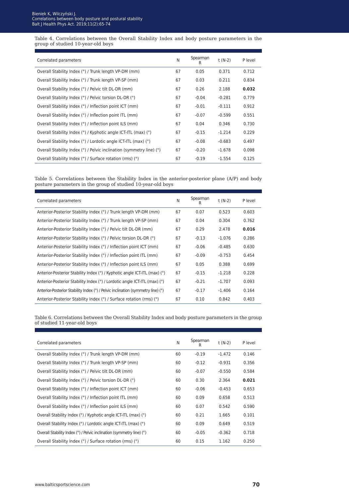Table 4. Correlations between the Overall Stability Index and body posture parameters in the group of studied 10-year-old boys

| Correlated parameters                                                | N  | Spearman<br>R | t (N-2)  | P level |
|----------------------------------------------------------------------|----|---------------|----------|---------|
| Overall Stability Index (°) / Trunk length VP-DM (mm)                | 67 | 0.05          | 0.371    | 0.712   |
| Overall Stability Index (°) / Trunk length VP-SP (mm)                | 67 | 0.03          | 0.211    | 0.834   |
| Overall Stability Index (°) / Pelvic tilt DL-DR (mm)                 | 67 | 0.26          | 2.188    | 0.032   |
| Overall Stability Index (°) / Pelvic torsion DL-DR (°)               | 67 | $-0.04$       | $-0.281$ | 0.779   |
| Overall Stability Index (°) / Inflection point ICT (mm)              | 67 | $-0.01$       | $-0.111$ | 0.912   |
| Overall Stability Index (°) / Inflection point ITL (mm)              | 67 | $-0.07$       | $-0.599$ | 0.551   |
| Overall Stability Index (°) / Inflection point ILS (mm)              | 67 | 0.04          | 0.346    | 0.730   |
| Overall Stability Index (°) / Kyphotic angle ICT-ITL (max) (°)       | 67 | $-0.15$       | $-1.214$ | 0.229   |
| Overall Stability Index (°) / Lordotic angle ICT-ITL (max) (°)       | 67 | $-0.08$       | $-0.683$ | 0.497   |
| Overall Stability Index (°) / Pelvic inclination (symmetry line) (°) | 67 | $-0.20$       | $-1.678$ | 0.098   |
| Overall Stability Index (°) / Surface rotation (rms) (°)             | 67 | $-0.19$       | $-1.554$ | 0.125   |

Table 5. Correlations between the Stability Index in the anterior-posterior plane (A/P) and body posture parameters in the group of studied 10-year-old boys

| Correlated parameters                                                           | N  | Spearman<br>R | t (N-2)  | P level |
|---------------------------------------------------------------------------------|----|---------------|----------|---------|
| Anterior-Posterior Stability Index (°) / Trunk length VP-DM (mm)                | 67 | 0.07          | 0.523    | 0.603   |
| Anterior-Posterior Stability Index (°) / Trunk length VP-SP (mm)                | 67 | 0.04          | 0.304    | 0.762   |
| Anterior-Posterior Stability Index (°) / Pelvic tilt DL-DR (mm)                 | 67 | 0.29          | 2.478    | 0.016   |
| Anterior-Posterior Stability Index (°) / Pelvic torsion DL-DR (°)               | 67 | $-0.13$       | $-1.076$ | 0.286   |
| Anterior-Posterior Stability Index (°) / Inflection point ICT (mm)              | 67 | $-0.06$       | $-0.485$ | 0.630   |
| Anterior-Posterior Stability Index (°) / Inflection point ITL (mm)              | 67 | $-0.09$       | $-0.753$ | 0.454   |
| Anterior-Posterior Stability Index (°) / Inflection point ILS (mm)              | 67 | 0.05          | 0.388    | 0.699   |
| Anterior-Posterior Stability Index (°) / Kyphotic angle ICT-ITL (max) (°)       | 67 | $-0.15$       | $-1.218$ | 0.228   |
| Anterior-Posterior Stability Index (°) / Lordotic angle ICT-ITL (max) (°)       | 67 | $-0.21$       | $-1.707$ | 0.093   |
| Anterior-Posterior Stability Index (°) / Pelvic inclination (symmetry line) (°) | 67 | $-0.17$       | $-1.406$ | 0.164   |
| Anterior-Posterior Stability Index (°) / Surface rotation (rms) (°)             | 67 | 0.10          | 0.842    | 0.403   |

Table 6. Correlations between the Overall Stability Index and body posture parameters in the group of studied 11-year-old boys

| Correlated parameters                                                | N  | Spearman<br>R | t (N-2)  | P level |
|----------------------------------------------------------------------|----|---------------|----------|---------|
| Overall Stability Index (°) / Trunk length VP-DM (mm)                | 60 | $-0.19$       | $-1.472$ | 0.146   |
| Overall Stability Index (°) / Trunk length VP-SP (mm)                | 60 | $-0.12$       | $-0.931$ | 0.356   |
| Overall Stability Index (°) / Pelvic tilt DL-DR (mm)                 | 60 | $-0.07$       | $-0.550$ | 0.584   |
| Overall Stability Index (°) / Pelvic torsion DL-DR (°)               | 60 | 0.30          | 2.364    | 0.021   |
| Overall Stability Index (°) / Inflection point ICT (mm)              | 60 | $-0.06$       | $-0.453$ | 0.653   |
| Overall Stability Index (°) / Inflection point ITL (mm)              | 60 | 0.09          | 0.658    | 0.513   |
| Overall Stability Index (°) / Inflection point ILS (mm)              | 60 | 0.07          | 0.542    | 0.590   |
| Overall Stability Index (°) / Kyphotic angle ICT-ITL (max) (°)       | 60 | 0.21          | 1.665    | 0.101   |
| Overall Stability Index (°) / Lordotic angle ICT-ITL (max) (°)       | 60 | 0.09          | 0.649    | 0.519   |
| Overall Stability Index (°) / Pelvic inclination (symmetry line) (°) | 60 | $-0.05$       | $-0.362$ | 0.718   |
| Overall Stability Index (°) / Surface rotation (rms) (°)             | 60 | 0.15          | 1.162    | 0.250   |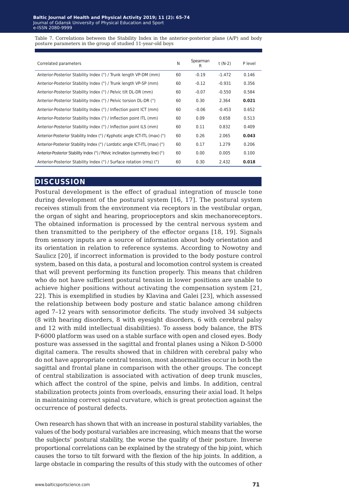Table 7. Correlations between the Stability Index in the anterior-posterior plane (A/P) and body posture parameters in the group of studied 11-year-old boys

| Correlated parameters                                                           | N  | Spearman<br>R | $t(N-2)$ | P level |
|---------------------------------------------------------------------------------|----|---------------|----------|---------|
| Anterior-Posterior Stability Index (°) / Trunk length VP-DM (mm)                | 60 | $-0.19$       | $-1.472$ | 0.146   |
| Anterior-Posterior Stability Index (°) / Trunk length VP-SP (mm)                | 60 | $-0.12$       | $-0.931$ | 0.356   |
| Anterior-Posterior Stability Index (°) / Pelvic tilt DL-DR (mm)                 | 60 | $-0.07$       | $-0.550$ | 0.584   |
| Anterior-Posterior Stability Index (°) / Pelvic torsion DL-DR (°)               | 60 | 0.30          | 2.364    | 0.021   |
| Anterior-Posterior Stability Index (°) / Inflection point ICT (mm)              | 60 | $-0.06$       | $-0.453$ | 0.652   |
| Anterior-Posterior Stability Index (°) / Inflection point ITL (mm)              | 60 | 0.09          | 0.658    | 0.513   |
| Anterior-Posterior Stability Index (°) / Inflection point ILS (mm)              | 60 | 0.11          | 0.832    | 0.409   |
| Anterior-Posterior Stability Index (°) / Kyphotic angle ICT-ITL (max) (°)       | 60 | 0.26          | 2.065    | 0.043   |
| Anterior-Posterior Stability Index (°) / Lordotic angle ICT-ITL (max) (°)       | 60 | 0.17          | 1.279    | 0.206   |
| Anterior-Posterior Stability Index (°) / Pelvic inclination (symmetry line) (°) | 60 | 0.00          | 0.005    | 0.100   |
| Anterior-Posterior Stability Index (°) / Surface rotation (rms) (°)             | 60 | 0.30          | 2.432    | 0.018   |

#### **discussion**

Postural development is the effect of gradual integration of muscle tone during development of the postural system [16, 17]. The postural system receives stimuli from the environment via receptors in the vestibular organ, the organ of sight and hearing, proprioceptors and skin mechanoreceptors. The obtained information is processed by the central nervous system and then transmitted to the periphery of the effector organs [18, 19]. Signals from sensory inputs are a source of information about body orientation and its orientation in relation to reference systems. According to Nowotny and Saulicz [20], if incorrect information is provided to the body posture control system, based on this data, a postural and locomotion control system is created that will prevent performing its function properly. This means that children who do not have sufficient postural tension in lower positions are unable to achieve higher positions without activating the compensation system [21, 22]. This is exemplified in studies by Klavina and Galei [23], which assessed the relationship between body posture and static balance among children aged 7–12 years with sensorimotor deficits. The study involved 34 subjects (8 with hearing disorders, 8 with eyesight disorders, 6 with cerebral palsy and 12 with mild intellectual disabilities). To assess body balance, the BTS P-6000 platform was used on a stable surface with open and closed eyes. Body posture was assessed in the sagittal and frontal planes using a Nikon D-5000 digital camera. The results showed that in children with cerebral palsy who do not have appropriate central tension, most abnormalities occur in both the sagittal and frontal plane in comparison with the other groups. The concept of central stabilization is associated with activation of deep trunk muscles, which affect the control of the spine, pelvis and limbs. In addition, central stabilization protects joints from overloads, ensuring their axial load. It helps in maintaining correct spinal curvature, which is great protection against the occurrence of postural defects.

Own research has shown that with an increase in postural stability variables, the values of the body postural variables are increasing, which means that the worse the subjects' postural stability, the worse the quality of their posture. Inverse proportional correlations can be explained by the strategy of the hip joint, which causes the torso to tilt forward with the flexion of the hip joints. In addition, a large obstacle in comparing the results of this study with the outcomes of other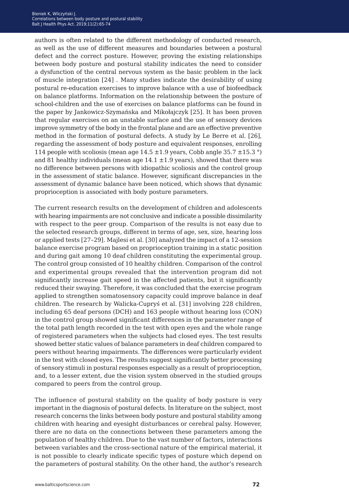authors is often related to the different methodology of conducted research, as well as the use of different measures and boundaries between a postural defect and the correct posture. However, proving the existing relationships between body posture and postural stability indicates the need to consider a dysfunction of the central nervous system as the basic problem in the lack of muscle integration [24] . Many studies indicate the desirability of using postural re-education exercises to improve balance with a use of biofeedback on balance platforms. Information on the relationship between the posture of school-children and the use of exercises on balance platforms can be found in the paper by Jankowicz-Szymańska and Mikołajczyk [25]. It has been proven that regular exercises on an unstable surface and the use of sensory devices improve symmetry of the body in the frontal plane and are an effective preventive method in the formation of postural defects. A study by Le Berre et al. [26], regarding the assessment of body posture and equivalent responses, enrolling 114 people with scoliosis (mean age  $14.5 \pm 1.9$  years, Cobb angle 35.7  $\pm$ 15.3 °) and 81 healthy individuals (mean age  $14.1 \pm 1.9$  years), showed that there was no difference between persons with idiopathic scoliosis and the control group in the assessment of static balance. However, significant discrepancies in the assessment of dynamic balance have been noticed, which shows that dynamic proprioception is associated with body posture parameters.

The current research results on the development of children and adolescents with hearing impairments are not conclusive and indicate a possible dissimilarity with respect to the peer group. Comparison of the results is not easy due to the selected research groups, different in terms of age, sex, size, hearing loss or applied tests [27–29]. Majlesi et al. [30] analyzed the impact of a 12-session balance exercise program based on proprioception training in a static position and during gait among 10 deaf children constituting the experimental group. The control group consisted of 10 healthy children. Comparison of the control and experimental groups revealed that the intervention program did not significantly increase gait speed in the affected patients, but it significantly reduced their swaying. Therefore, it was concluded that the exercise program applied to strengthen somatosensory capacity could improve balance in deaf children. The research by Walicka-Cupryś et al. [31] involving 228 children, including 65 deaf persons (DCH) and 163 people without hearing loss (CON) in the control group showed significant differences in the parameter range of the total path length recorded in the test with open eyes and the whole range of registered parameters when the subjects had closed eyes. The test results showed better static values of balance parameters in deaf children compared to peers without hearing impairments. The differences were particularly evident in the test with closed eyes. The results suggest significantly better processing of sensory stimuli in postural responses especially as a result of proprioception, and, to a lesser extent, due the vision system observed in the studied groups compared to peers from the control group.

The influence of postural stability on the quality of body posture is very important in the diagnosis of postural defects. In literature on the subject, most research concerns the links between body posture and postural stability among children with hearing and eyesight disturbances or cerebral palsy. However, there are no data on the connections between these parameters among the population of healthy children. Due to the vast number of factors, interactions between variables and the cross-sectional nature of the empirical material, it is not possible to clearly indicate specific types of posture which depend on the parameters of postural stability. On the other hand, the author's research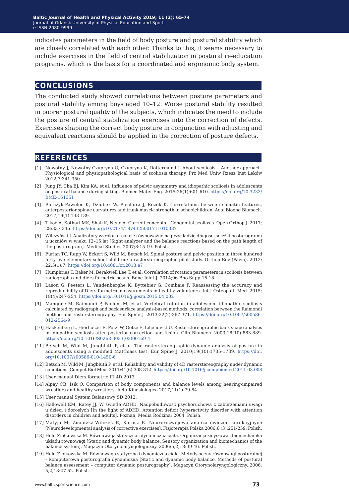indicates parameters in the field of body posture and postural stability which are closely correlated with each other. Thanks to this, it seems necessary to include exercises in the field of central stabilization in postural re-education programs, which is the basis for a coordinated and ergonomic body system.

#### **conclusions**

The conducted study showed correlations between posture parameters and postural stability among boys aged 10–12. Worse postural stability resulted in poorer postural quality of the subjects, which indicates the need to include the posture of central stabilization exercises into the correction of defects. Exercises shaping the correct body posture in conjunction with adjusting and equivalent reactions should be applied in the correction of posture defects.

#### **references**

- [1] Nowotny J, Nowotny-Czupryna O, Czupryna K, Rottermund J. About scoliosis Another approach. Physiological and physiopathological basis of scoliosis therapy. Prz Med Uniw Rzesz Inst Leków 2012;3:341-350.
- [2] Jung JY, Cha EJ, Kim KA, et al. Influence of pelvic asymmetry and idiopathic scoliosis in adolescents on postural balance during sitting. Biomed Mater Eng. 2015;26(1):601-610. [https://doi.org/10.3233/](https://doi.org/10.3233/BME-151351) [BME-151351](https://doi.org/10.3233/BME-151351)
- [3] Barczyk-Pawelec K, Dziubek W, Piechura J, Rożek K. Correlations between somatic features, anterposterior spinae curvatures and trunk muscle strength in schoolchildren. Acta Bioeng Biomech. 2017;19(1):133-139.
- [4] Tikoo A, Kothari MK, Shah K, Nene A. Current concepts Congenital scoliosis. Open Orthop J. 2017; 28:337-345. <https://doi.org/10.2174/1874325001711010337>
- [5] Wilczyński J. Analizatory wzroku a reakcje równoważne na przykładzie długości ścieżki posturogramu u uczniów w wieku 12–15 lat [Sight analyzer and the balance reactions based on the path length of the posturogram]. Medical Studies 2007;8:15-19. Polish.
- [6] Furian TC, Rapp W, Eckert S, Wild M, Betsch M. Spinal posture and pelvic position in three hundred forty-five elementary school children: a rasterstereographic pilot study. Orthop Rev (Pavia). 2013; 22,5(1):7. <https://doi.org/10.4081/or.2013.e7>
- [7] Humphries T, Baker M, Berakwell Lee T, et al. Correlation of rotation parameters in scoliosis between radiographs and diers formetric scans. Bone Joint J. 2014;96-Bno.Supp:15-18.
- [8] Lason G, Peeters L, Vandenberghe K, Byttebier G, Comhaie F. Reassessing the accuracy and reproducibility of Diers formetric measurements in healthy volunteers. Int J Osteopath Med. 2015; 18(4):247-254.<https://doi.org/10.1016/j.ijosm.2015.04.002>
- [9] Mangone M, Raimondi P, Paoloni M, et al. Vertebral rotation in adolescent idiopathic scoliosis calculated by radiograph and back surface analysis-based methods: correlation between the Raimondi method an[d](https://doi.org/10.1016/S0268-0033(03)00169-4) rasterstereography. Eur Spine J. 2013;22(2):367-371. https://doi.org/10.1007/s00586- 012-2564-9
- [10] Hackenberg L, Hierholzer E, Pötzl W, Götze E, Liljenqvist U. Rasterstereographic back shape analysis in idiopathic scoliosis after posterior correction and fusion. Clin Biomech. 2003;18(10):883-889. [https://doi.org/10.1016/S0268-0033\(03\)00169-4](https://doi.org/10.1016/S0268-0033(03)00169-4)
- [11] Betsch M, Wild M, Jungbluth P, et al. The rasterstereographic-dynamic analysis of posture in adolescents using a modified Matthiass test. Eur Spine J. 2010;19(10):1735-1739. [https://doi.](https://doi.org/10.1007/s00586-010-1450-6) [org/10.1007/s00586-010-1450-6](https://doi.org/10.1007/s00586-010-1450-6)
- [12] Betsch M, Wild M, Jungbluth P, et al. Reliability and validity of 4D rasterstereography under dynamic conditions. Comput Biol Med. 2011;41(6):308-312. <https://doi.org/10.1016/j.compbiomed.2011.03.008>
- [13] User manual Diers formetric III 4D 2013.
- [14] Alpay CB, Isik O. Comparison of body components and balance levels among hearing-impaired wrestlers and healthy wrestlers. Acta Kinesiologica 2017;11(1):79-84.
- [15] User manual System Balansowy SD 2012.
- [16] Hallowell EM, Ratey JJ. W świetle ADHD. Nadpobudliwość psychoruchowa z zaburzeniami uwagi u dzieci i dorosłych [In the light of ADHD. Attention deficit hyperactivity disorder with attention disorders in children and adults]. Poznań, Media Rodzina; 2004. Polish.
- [17] Matyja M, Żmudzka-Wilczek E, Karasz B. Neurorozwojowa analiza ćwiczeń korekcyjnych [Neurodevelopmental analysis of corrective exercises]. Fizjoterapia Polska 2006;6 (3):251-259. Polish.
- [18] Held-Ziółkowska M. Równowaga statyczna i dynamiczna ciała. Organizacja zmysłowa i biomechanika układu równowagi [Static and dynamic body balance. Sensory organization and biomechanics of the balance system]. Magazyn Otorynolaryngologiczny. 2006;5,2,18:39-46. Polish.
- [19] Held-Ziółkowska M. Równowaga statyczna i dynamiczna ciała. Metody oceny równowagi posturalnej – komputerowa posturografia dynamiczna [Static and dynamic body balance. Methods of postural balance assessment – computer dynamic posturography]. Magazyn Otorynolaryngologiczny. 2006; 5,2,18:47-52. Polish.